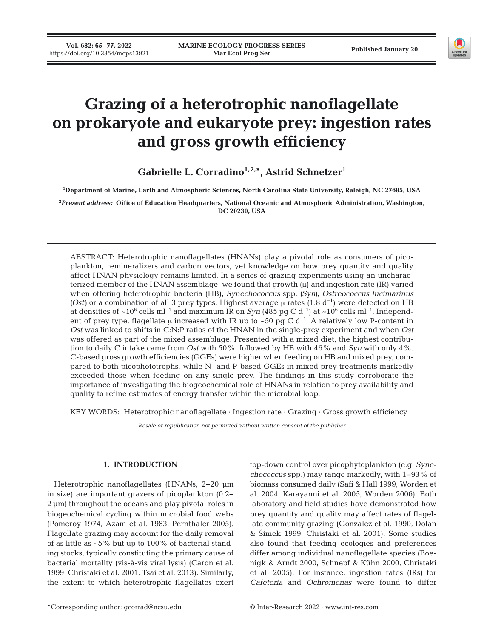

# **Grazing of a heterotrophic nanoflagellate on prokaryote and eukaryote prey: ingestion rates and gross growth efficiency**

Gabrielle L. Corradino<sup>1,2,\*</sup>, Astrid Schnetzer<sup>1</sup>

**1 Department of Marine, Earth and Atmospheric Sciences, North Carolina State University, Raleigh, NC 27695, USA**

**2** *Present address:* **Office of Education Headquarters, National Oceanic and Atmospheric Administration, Washington, DC 20230, USA**

ABSTRACT: Heterotrophic nanoflagellates (HNANs) play a pivotal role as consumers of pico plankton, remineralizers and carbon vectors, yet knowledge on how prey quantity and quality affect HNAN physiology remains limited. In a series of grazing experiments using an uncharacterized member of the HNAN assemblage, we found that growth  $(\mu)$  and ingestion rate  $(IR)$  varied when offering heterotrophic bacteria (HB), *Synechococcus* spp. *(Syn)*, *Ostreococcus lucimarinus* (Ost) or a combination of all 3 prey types. Highest average  $\mu$  rates (1.8 d<sup>-1</sup>) were detected on HB at densities of ~106 cells ml−1 and maximum IR on *Syn* (485 pg C d−1) at ~106 cells ml−1. Independent of prey type, flagellate μ increased with IR up to ~50 pg C  $d^{-1}$ . A relatively low P-content in *Ost* was linked to shifts in C:N:P ratios of the HNAN in the single-prey experiment and when *Ost* was offered as part of the mixed assemblage. Presented with a mixed diet, the highest contribution to daily C intake came from *Ost* with 50%, followed by HB with 46% and *Syn* with only 4%. C-based gross growth efficiencies (GGEs) were higher when feeding on HB and mixed prey, compared to both picophototrophs, while N- and P-based GGEs in mixed prey treatments markedly exceeded those when feeding on any single prey. The findings in this study corroborate the importance of investigating the biogeochemical role of HNANs in relation to prey availability and quality to refine estimates of energy transfer within the microbial loop.

KEY WORDS: Heterotrophic nanoflagellate · Ingestion rate · Grazing · Gross growth efficiency

*Resale or republication not permitted without written consent of the publisher*

# **1. INTRODUCTION**

Heterotrophic nanoflagellates (HNANs, 2−20 μm in size) are important grazers of picoplankton (0.2− 2 μm) throughout the oceans and play pivotal roles in biogeochemical cycling within microbial food webs (Pomeroy 1974, Azam et al. 1983, Pernthaler 2005). Flagellate grazing may account for the daily removal of as little as ~5% but up to 100% of bacterial standing stocks, typically constituting the primary cause of bacterial mortality (vis-à-vis viral lysis) (Caron et al. 1999, Christaki et al. 2001, Tsai et al. 2013). Similarly, the extent to which heterotrophic flagellates exert top-down control over picophytoplankton (e.g. *Synechococcus* spp.) may range markedly, with 1−93% of biomass consumed daily (Safi & Hall 1999, Worden et al. 2004, Karayanni et al. 2005, Worden 2006). Both laboratory and field studies have demonstrated how prey quantity and quality may affect rates of flagellate community grazing (Gonzalez et al. 1990, Dolan & Šimek 1999, Christaki et al. 2001). Some studies also found that feeding ecologies and preferences differ among individual nanoflagellate species (Boe nigk & Arndt 2000, Schnepf & Kühn 2000, Christaki et al. 2005). For instance, ingestion rates (IRs) for *Cafe teria* and *Ochromonas* were found to differ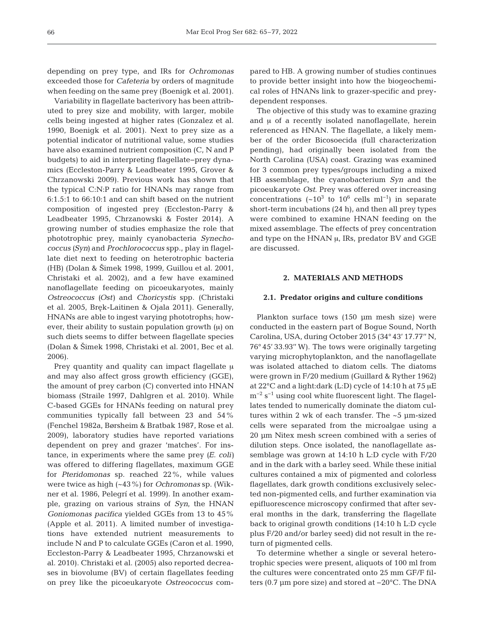depending on prey type, and IRs for *Ochromonas* exceeded those for *Cafeteria* by orders of magnitude when feeding on the same prey (Boenigk et al. 2001).

Variability in flagellate bacterivory has been attributed to prey size and mobility, with larger, mobile cells being ingested at higher rates (Gonzalez et al. 1990, Boenigk et al. 2001). Next to prey size as a potential indicator of nutritional value, some studies have also examined nutrient composition (C, N and P budgets) to aid in interpreting flagellate−prey dyna mics (Eccleston-Parry & Leadbeater 1995, Grover & Chrzanowski 2009). Previous work has shown that the typical C:N:P ratio for HNANs may range from 6:1.5:1 to 66:10:1 and can shift based on the nutrient composition of ingested prey (Eccleston-Parry & Leadbeater 1995, Chrzanowski & Foster 2014). A growing number of studies emphasize the role that phototrophic prey, mainly cyanobacteria *Synecho coccus (Syn)* and *Prochlorococcus* spp., play in flagellate diet next to feeding on heterotrophic bacteria (HB) (Dolan & Šimek 1998, 1999, Guillou et al. 2001, Christaki et al. 2002), and a few have examined nanoflagellate feeding on picoeukaryotes, mainly *Ostreococcus (Ost)* and *Choricystis* spp. (Christaki et al. 2005, Bręk-Laitinen & Ojala 2011). Generally, HNANs are able to ingest varying phototrophs; however, their ability to sustain population growth (μ) on such diets seems to differ between flagellate species (Dolan & Šimek 1998, Christaki et al. 2001, Bec et al. 2006).

Prey quantity and quality can impact flagellate μ and may also affect gross growth efficiency (GGE), the amount of prey carbon (C) converted into HNAN biomass (Straile 1997, Dahlgren et al. 2010). While C-based GGEs for HNANs feeding on natural prey communities typically fall between 23 and 54% (Fenchel 1982a, Børsheim & Bratbak 1987, Rose et al. 2009), laboratory studies have reported variations dependent on prey and grazer 'matches'. For instance, in experiments where the same prey *(E. coli)* was offered to differing flagellates, maximum GGE for *Pteridomonas* sp. reached 22%, while values were twice as high (~43%) for *Ochromonas* sp. (Wik ner et al. 1986, Pelegrí et al. 1999). In another example, grazing on various strains of *Syn*, the HNAN *Goniomonas pacifica* yielded GGEs from 13 to 45% (Apple et al. 2011). A limited number of investigations have extended nutrient measurements to include N and P to calculate GGEs (Caron et al. 1990, Eccleston-Parry & Leadbeater 1995, Chrzanowski et al. 2010). Christaki et al. (2005) also reported decreases in biovolume (BV) of certain flagellates feeding on prey like the picoeukaryote *Ostreococcus* compared to HB. A growing number of studies continues to provide better insight into how the biogeochemical roles of HNANs link to grazer-specific and preydependent responses.

The objective of this study was to examine grazing and  $\mu$  of a recently isolated nanoflagellate, herein referenced as HNAN. The flagellate, a likely member of the order Bicosoecida (full characterization pending), had originally been isolated from the North Carolina (USA) coast. Grazing was examined for 3 common prey types/groups including a mixed HB assemblage, the cyanobacterium *Syn* and the picoeukaryote *Ost*. Prey was offered over increasing concentrations (~10<sup>3</sup> to 10<sup>6</sup> cells ml<sup>-1</sup>) in separate short-term incubations (24 h), and then all prey types were combined to examine HNAN feeding on the mixed assemblage. The effects of prey concentration and type on the HNAN μ, IRs, predator BV and GGE are discussed.

# **2. MATERIALS AND METHODS**

#### **2.1. Predator origins and culture conditions**

Plankton surface tows (150 μm mesh size) were conducted in the eastern part of Bogue Sound, North Carolina, USA, during October 2015 (34° 43' 17.77'' N, 76° 45' 33.93'' W). The tows were originally targeting varying microphytoplankton, and the nanoflagellate was isolated attached to diatom cells. The diatoms were grown in F/20 medium (Guillard & Ryther 1962) at 22°C and a light:dark (L:D) cycle of 14:10 h at 75 μE  $m^{-2}$  s<sup>-1</sup> using cool white fluorescent light. The flagellates tended to numerically dominate the diatom cultures within 2 wk of each transfer. The ~5 μm-sized cells were separated from the microalgae using a 20 μm Nitex mesh screen combined with a series of dilution steps. Once isolated, the nanoflagellate assemblage was grown at 14:10 h L:D cycle with F/20 and in the dark with a barley seed. While these initial cultures contained a mix of pigmented and colorless flagellates, dark growth conditions exclusively selected non-pigmented cells, and further examination via epifluorescence microscopy confirmed that after several months in the dark, transferring the flagellate back to original growth conditions (14:10 h L:D cycle plus F/20 and/or barley seed) did not result in the return of pigmented cells.

To determine whether a single or several heterotrophic species were present, aliquots of 100 ml from the cultures were concentrated onto 25 mm GF/F filters (0.7 μm pore size) and stored at −20°C. The DNA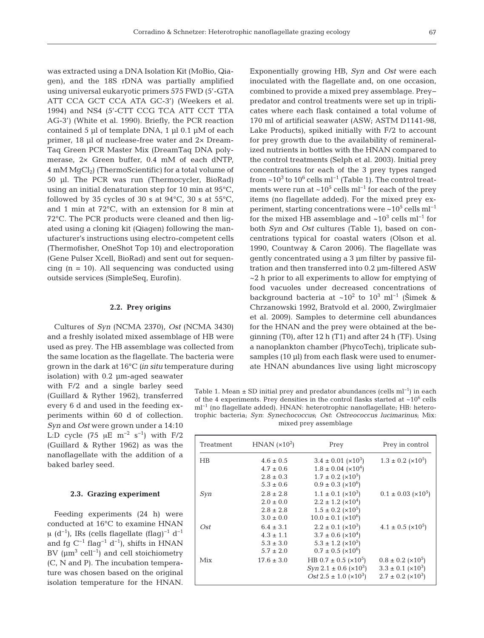was extracted using a DNA Isolation Kit (MoBio, Qiagen), and the 18S rDNA was partially amplified using universal eukaryotic primers 575 FWD (5'-GTA ATT CCA GCT CCA ATA GC-3') (Weekers et al. 1994) and NS4 (5'-CTT CCG TCA ATT CCT TTA AG-3') (White et al. 1990). Briefly, the PCR reaction contained 5 μl of template DNA, 1 μl 0.1 μM of each primer, 18 μl of nuclease-free water and 2× Dream-Taq Green PCR Master Mix (DreamTaq DNA polymerase, 2× Green buffer, 0.4 mM of each dNTP,  $4 \text{ mM } MgCl_2$ ) (ThermoScientific) for a total volume of 50 μl. The PCR was run (Thermocycler, BioRad) using an initial denaturation step for 10 min at 95°C, followed by 35 cycles of 30 s at  $94^{\circ}$ C, 30 s at  $55^{\circ}$ C, and 1 min at 72°C, with an extension for 8 min at 72°C. The PCR products were cleaned and then ligated using a cloning kit (Qiagen) following the manufacturer's instructions using electro-competent cells (Thermofisher, OneShot Top 10) and electroporation (Gene Pulser Xcell, BioRad) and sent out for sequencing  $(n = 10)$ . All sequencing was conducted using outside services (SimpleSeq, Eurofin).

# **2.2. Prey origins**

Cultures of *Syn* (NCMA 2370), *Ost* (NCMA 3430) and a freshly isolated mixed assemblage of HB were used as prey. The HB assemblage was collected from the same location as the flagellate. The bacteria were grown in the dark at 16°C *(in situ* temperature during

isolation) with 0.2 μm-aged seawater with F/2 and a single barley seed (Guillard & Ryther 1962), transferred every 6 d and used in the feeding experiments within 60 d of collection. *Syn* and *Ost* were grown under a 14:10 L:D cycle (75  $\mu$ E m<sup>-2</sup> s<sup>-1</sup>) with F/2 (Guillard & Ryther 1962) as was the nanoflagellate with the addition of a baked barley seed.

#### **2.3. Grazing experiment**

Feeding experiments (24 h) were conducted at 16°C to examine HNAN μ (d<sup>-1</sup>), IRs (cells flagellate (flag)<sup>-1</sup> d<sup>-1</sup> and fg  $C^{-1}$  flag<sup>-1</sup> d<sup>-1</sup>), shifts in HNAN BV ( $\mu$ m<sup>3</sup> cell<sup>-1</sup>) and cell stoichiometry (C, N and P). The incubation temperature was chosen based on the original isolation temperature for the HNAN.

Exponentially growing HB, *Syn* and *Ost* were each inoculated with the flagellate and, on one occasion, combined to provide a mixed prey assemblage. Prey− predator and control treatments were set up in triplicates where each flask contained a total volume of 170 ml of artificial seawater (ASW; ASTM D1141-98, Lake Products), spiked initially with F/2 to account for prey growth due to the availability of remineralized nutrients in bottles with the HNAN compared to the control treatments (Selph et al. 2003). Initial prey concentrations for each of the 3 prey types ranged from ~10<sup>3</sup> to 10<sup>6</sup> cells ml<sup>-1</sup> (Table 1). The control treatments were run at ~10<sup>5</sup> cells ml<sup>-1</sup> for each of the prey items (no flagellate added). For the mixed prey experiment, starting concentrations were ~10<sup>5</sup> cells ml<sup>-1</sup> for the mixed HB assemblage and  $\sim 10^3$  cells ml<sup>-1</sup> for both *Syn* and *Ost* cultures (Table 1), based on concentrations typical for coastal waters (Olson et al. 1990, Countway & Caron 2006). The flagellate was gently concentrated using a 3 μm filter by passive filtration and then transferred into 0.2 μm-filtered ASW ~2 h prior to all experiments to allow for emptying of food vacuoles under decreased concentrations of background bacteria at ~10<sup>2</sup> to 10<sup>3</sup> ml<sup>-1</sup> (Šimek & Chrzanowski 1992, Bratvold et al. 2000, Zwirglmaier et al. 2009). Samples to determine cell abundances for the HNAN and the prey were obtained at the beginning (T0), after 12 h (T1) and after 24 h (TF). Using a nanoplankton chamber (PhycoTech), triplicate subsamples (10 μl) from each flask were used to enumerate HNAN abundances live using light microscopy

Table 1. Mean  $\pm$  SD initial prey and predator abundances (cells ml<sup>-1</sup>) in each of the 4 experiments. Prey densities in the control flasks started at  $~10^6$  cells ml−1 (no flagellate added). HNAN: heterotrophic nanoflagellate; HB: heterotrophic bacteria; *Syn*: *Synechococcus*; *Ost*: *Ostreococcus lucimarinus*; Mix: mixed prey assemblage

| HNAN $(x10^2)$ | Prey                                             | Prey in control                   |
|----------------|--------------------------------------------------|-----------------------------------|
| $4.6 \pm 0.5$  | $3.4 \pm 0.01 \ ( \times 10^{3})$                | $1.3 \pm 0.2$ (×10 <sup>5</sup> ) |
| $4.7 \pm 0.6$  | $1.8 \pm 0.04$ ( $\times 10^4$ )                 |                                   |
| $2.8 \pm 0.3$  | $1.7 \pm 0.2$ (×10 <sup>5</sup> )                |                                   |
| $5.3 \pm 0.6$  | $0.9 \pm 0.3 \ ( \times 10^6 )$                  |                                   |
| $2.8 \pm 2.8$  | $1.1 \pm 0.1 \times 10^3$                        | $0.1 \pm 0.03$ ( $\times 10^5$ )  |
| $2.0 \pm 0.0$  | $2.2 \pm 1.2 \ ( \times 10^{4})$                 |                                   |
| $2.8 \pm 2.8$  | $1.5 \pm 0.2$ (×10 <sup>5</sup> )                |                                   |
| $3.0 \pm 0.0$  | $10.0 \pm 0.1$ ( $\times 10^6$ )                 |                                   |
| $6.4 \pm 3.1$  | $2.2 \pm 0.1$ ( $\times 10^3$ )                  | $4.1 \pm 0.5$ ( $\times 10^5$ )   |
| $4.3 \pm 1.1$  | $3.7 \pm 0.6$ ( $\times 10^{4}$ )                |                                   |
| $5.3 \pm 3.0$  | $5.3 \pm 1.2$ ( $\times 10^5$ )                  |                                   |
| $5.7 \pm 2.0$  | $0.7 \pm 0.5$ ( $\times 10^6$ )                  |                                   |
| $17.6 \pm 3.0$ | HB $0.7 \pm 0.5$ ( $\times 10^5$ )               | $0.8 \pm 0.2$ (×10 <sup>5</sup> ) |
|                | $Syn$ 2.1 $\pm$ 0.6 ( $\times$ 10 <sup>3</sup> ) | $3.3 \pm 0.1 \ ( \times 10^3 )$   |
|                | $Ost 2.5 \pm 1.0 \ ( \times 10^3)$               | $2.7 \pm 0.2$ ( $\times 10^3$ )   |
|                |                                                  |                                   |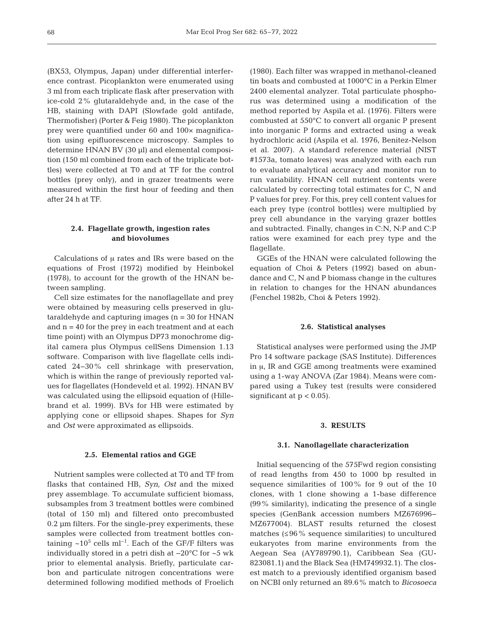(BX53, Olympus, Japan) under differential interference contrast. Picoplankton were enumerated using 3 ml from each triplicate flask after preservation with ice-cold 2% glutaraldehyde and, in the case of the HB, staining with DAPI (Slowfade gold antifade, Thermofisher) (Porter & Feig 1980). The picoplankton prey were quantified under 60 and 100× magnification using epifluorescence microscopy. Samples to determine HNAN BV (30 μl) and elemental composition (150 ml combined from each of the triplicate bottles) were collected at T0 and at TF for the control bottles (prey only), and in grazer treatments were measured within the first hour of feeding and then after 24 h at TF.

# **2.4. Flagellate growth, ingestion rates and biovolumes**

Calculations of μ rates and IRs were based on the equations of Frost (1972) modified by Heinbokel (1978), to account for the growth of the HNAN be tween sampling.

Cell size estimates for the nanoflagellate and prey were obtained by measuring cells preserved in glutaraldehyde and capturing images (n = 30 for HNAN and  $n = 40$  for the prey in each treatment and at each time point) with an Olympus DP73 monochrome digital camera plus Olympus cellSens Dimension 1.13 software. Comparison with live flagellate cells indicated 24−30% cell shrinkage with preservation, which is within the range of previously reported values for flagellates (Hondeveld et al. 1992). HNAN BV was calculated using the ellipsoid equation of (Hillebrand et al. 1999). BVs for HB were estimated by applying cone or ellipsoid shapes. Shapes for *Syn* and *Ost* were approximated as ellipsoids.

## **2.5. Elemental ratios and GGE**

Nutrient samples were collected at T0 and TF from flasks that contained HB, *Syn*, *Ost* and the mixed prey assemblage. To accumulate sufficient biomass, subsamples from 3 treatment bottles were combined (total of 150 ml) and filtered onto precombusted 0.2 μm filters. For the single-prey experiments, these samples were collected from treatment bottles containing ~10<sup>5</sup> cells ml<sup>−1</sup>. Each of the GF/F filters was individually stored in a petri dish at −20°C for ~5 wk prior to elemental analysis. Briefly, particulate carbon and particulate nitrogen concentrations were determined following modified methods of Froelich (1980). Each filter was wrapped in methanol-cleaned tin boats and combusted at 1000°C in a Perkin Elmer 2400 elemental analyzer. Total particulate phosphorus was determined using a modification of the method reported by Aspila et al. (1976). Filters were combusted at 550°C to convert all organic P present into inorganic P forms and extracted using a weak hydrochloric acid (Aspila et al. 1976, Benitez-Nelson et al. 2007). A standard reference material (NIST #1573a, tomato leaves) was analyzed with each run to evaluate analytical accuracy and monitor run to run variability. HNAN cell nutrient contents were calculated by correcting total estimates for C, N and P values for prey. For this, prey cell content values for each prey type (control bottles) were multiplied by prey cell abundance in the varying grazer bottles and subtracted. Finally, changes in C:N, N:P and C:P ratios were examined for each prey type and the flagellate.

GGEs of the HNAN were calculated following the equation of Choi & Peters (1992) based on abundance and C, N and P biomass change in the cultures in relation to changes for the HNAN abundances (Fenchel 1982b, Choi & Peters 1992).

#### **2.6. Statistical analyses**

Statistical analyses were performed using the JMP Pro 14 software package (SAS Institute). Differences in μ, IR and GGE among treatments were examined using a 1-way ANOVA (Zar 1984). Means were compared using a Tukey test (results were considered significant at  $p < 0.05$ ).

## **3. RESULTS**

#### **3.1. Nanoflagellate characterization**

Initial sequencing of the 575Fwd region consisting of read lengths from 450 to 1000 bp resulted in sequence similarities of 100% for 9 out of the 10 clones, with 1 clone showing a 1-base difference (99% similarity), indicating the presence of a single species (GenBank accession numbers MZ676996− MZ677004). BLAST results returned the closest matches  $(≤96%$  sequence similarities) to uncultured eukaryotes from marine environments from the Aegean Sea (AY789790.1), Caribbean Sea (GU - 823081.1) and the Black Sea (HM749932.1). The closest match to a previously identified organism based on NCBI only returned an 89.6% match to *Bicosoeca*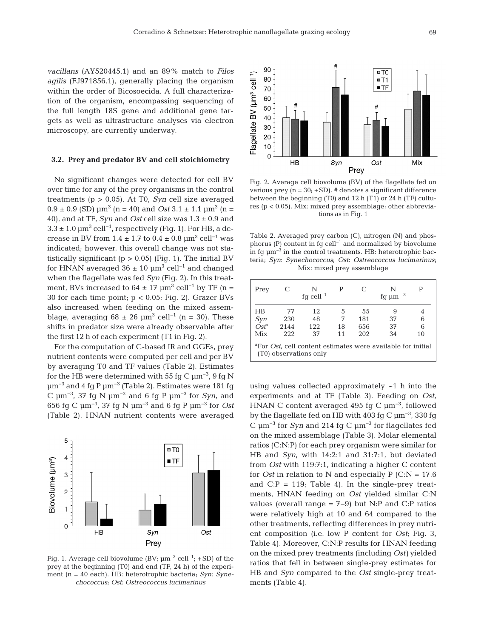*vacillans* (AY520445.1) and an 89% match to *Filos agilis* (FJ971856.1), generally placing the organism within the order of Bicosoecida. A full characterization of the organism, encompassing sequencing of the full length 18S gene and additional gene targets as well as ultrastructure analyses via electron microscopy, are currently underway.

#### **3.2. Prey and predator BV and cell stoichiometry**

No significant changes were detected for cell BV over time for any of the prey organisms in the control treatments (p > 0.05). At T0, *Syn* cell size averaged  $0.9 \pm 0.9$  (SD)  $\mu$ m<sup>3</sup> (n = 40) and *Ost* 3.1  $\pm$  1.1  $\mu$ m<sup>3</sup> (n = 40), and at TF, *Syn* and *Ost* cell size was 1.3 ± 0.9 and  $3.3 \pm 1.0$   $\mu$ m<sup>3</sup> cell<sup>-1</sup>, respectively (Fig. 1). For HB, a decrease in BV from  $1.4 \pm 1.7$  to  $0.4 \pm 0.8$   $\mu$ m<sup>3</sup> cell<sup>-1</sup> was indicated; however, this overall change was not statistically significant ( $p > 0.05$ ) (Fig. 1). The initial BV for HNAN averaged  $36 \pm 10 \ \mu m^3$  cell<sup>-1</sup> and changed when the flagellate was fed *Syn* (Fig. 2). In this treatment, BVs increased to  $64 \pm 17 \mu m^3$  cell<sup>-1</sup> by TF (n = 30 for each time point;  $p < 0.05$ ; Fig. 2). Grazer BVs also increased when feeding on the mixed assemblage, averaging  $68 \pm 26$  µm<sup>3</sup> cell<sup>-1</sup> (n = 30). These shifts in predator size were already observable after the first 12 h of each experiment (T1 in Fig. 2).

For the computation of C-based IR and GGEs, prey nutrient contents were computed per cell and per BV by averaging T0 and TF values (Table 2). Estimates for the HB were determined with 55 fg C  $\mu$ m<sup>-3</sup>, 9 fg N  $μm<sup>-3</sup>$  and 4 fg P  $μm<sup>-3</sup>$  (Table 2). Estimates were 181 fg C μm−3, 37 fg N μm−3 and 6 fg P μm−3 for *Syn*, and 656 fg C μm−3, 37 fg N μm−3 and 6 fg P μm−3 for *Ost* (Table 2). HNAN nutrient contents were averaged



Fig. 1. Average cell biovolume (BV;  $\mu$ m<sup>-3</sup> cell<sup>-1</sup>; +SD) of the prey at the beginning (T0) and end (TF, 24 h) of the experiment (n = 40 each). HB: heterotrophic bacteria; *Syn*: *Synechococcus*; *Ost*: *Ostreococcus lucimarinus*



Fig. 2. Average cell biovolume (BV) of the flagellate fed on various prey  $(n = 30; + SD)$ . # denotes a significant difference between the beginning  $(T0)$  and 12 h $(T1)$  or 24 h $(TF)$  cultures (p < 0.05). Mix: mixed prey assemblage; other abbreviations as in Fig. 1

Table 2. Averaged prey carbon (C), nitrogen (N) and phosphorus (P) content in fg cell−1 and normalized by biovolume in fg  $\mu$ m<sup>-3</sup> in the control treatments. HB: heterotrophic bacteria; *Syn*: *Synechococcus*; *Ost*: *Ostreococcus lucimarinus*; Mix: mixed prey assemblage

| Prey                                                                                                      |      | N<br>fq cell <sup>-1</sup> $\_\_\_\_\_\_\_\_\_\_\_\_\_\_\_\_\_\_\_\_$ | P  | C   | fg $\mu$ m <sup>-3</sup> |    |
|-----------------------------------------------------------------------------------------------------------|------|-----------------------------------------------------------------------|----|-----|--------------------------|----|
| ΗB                                                                                                        | 77   | 12                                                                    | 5  | 55  | 9                        | 4  |
| Syn                                                                                                       | 230  | 48                                                                    | 7  | 181 | 37                       | 6  |
| $Ost^a$                                                                                                   | 2144 | 122                                                                   | 18 | 656 | 37                       | 6  |
| Mix                                                                                                       | 222  | 37                                                                    | 11 | 202 | 34                       | 10 |
| <sup>a</sup> For <i>Ost</i> , cell content estimates were available for initial<br>(T0) observations only |      |                                                                       |    |     |                          |    |

using values collected approximately ~1 h into the experiments and at TF (Table 3). Feeding on *Ost*, HNAN C content averaged 495 fg C μm−3, followed by the flagellate fed on HB with 403 fg C μm−3, 330 fg C μm−3 for *Syn* and 214 fg C μm−3 for flagellates fed on the mixed assemblage (Table 3). Molar elemental ratios (C:N:P) for each prey organism were similar for HB and *Syn*, with 14:2:1 and 31:7:1, but deviated from *Ost* with 119:7:1, indicating a higher C content for *Ost* in relation to N and especially  $P(C:N = 17.6$ and  $C: P = 119$ ; Table 4). In the single-prey treatments, HNAN feeding on *Ost* yielded similar C:N values (overall range = 7−9) but N:P and C:P ratios were relatively high at 10 and 64 compared to the other treatments, reflecting differences in prey nutrient composition (i.e. low P content for *Ost*; Fig. 3, Table 4). Moreover, C:N:P results for HNAN feeding on the mixed prey treatments (including *Ost)* yielded ratios that fell in between single-prey estimates for HB and *Syn* compared to the *Ost* single-prey treatments (Table 4).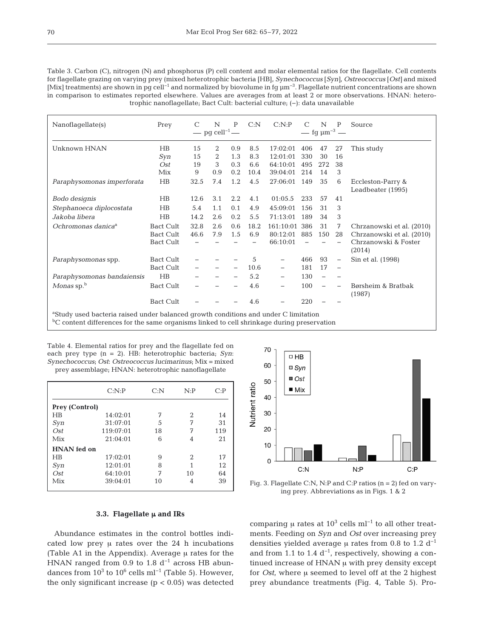| Table 3. Carbon (C), nitrogen (N) and phosphorus (P) cell content and molar elemental ratios for the flagellate. Cell contents                              |
|-------------------------------------------------------------------------------------------------------------------------------------------------------------|
| for flagellate grazing on varying prey (mixed heterotrophic bacteria [HB], Synechococcus [Syn], Ostreococcus [Ost] and mixed                                |
| [Mix] treatments) are shown in pg cell <sup>-1</sup> and normalized by biovolume in fg $\mu$ m <sup>-3</sup> . Flagellate nutrient concentrations are shown |
| in comparison to estimates reported elsewhere. Values are averages from at least 2 or more observations. HNAN: hetero-                                      |
| trophic nanoflagellate; Bact Cult: bacterial culture; (-): data unavailable                                                                                 |

| Nanoflagellate(s)                                                                               | Prey             | $\mathcal{C}$ | N                  | P                        | C: N | C: N:P            |     | N                            | P                        | Source                                 |
|-------------------------------------------------------------------------------------------------|------------------|---------------|--------------------|--------------------------|------|-------------------|-----|------------------------------|--------------------------|----------------------------------------|
|                                                                                                 |                  |               | — pg $cell^{-1}$ — |                          |      |                   |     | — fg $\mu$ m <sup>-3</sup> — |                          |                                        |
| Unknown HNAN                                                                                    | H B              | 15            | 2                  | 0.9                      | 8.5  | 17:02:01          | 406 | 47                           | 27                       | This study                             |
|                                                                                                 | Syn              | 15            | 2                  | 1.3                      | 8.3  | 12:01:01          | 330 | 30                           | 16                       |                                        |
|                                                                                                 | O <sub>st</sub>  | 19            | 3                  | 0.3                      | 6.6  | 64:10:01          | 495 | 272                          | 38                       |                                        |
|                                                                                                 | Mix              | 9             | 0.9                | 0.2                      | 10.4 | 39:04:01          | 214 | 14                           | 3                        |                                        |
| Paraphysomonas imperforata                                                                      | H <sub>B</sub>   | 32.5          | 7.4                | 1.2                      | 4.5  | 27:06:01          | 149 | 35                           | 6                        | Eccleston-Parry &<br>Leadbeater (1995) |
| Bodo designis                                                                                   | H <sub>B</sub>   | 12.6          | 3.1                | 2.2                      | 4.1  | 01:05.5           | 233 | 57                           | 41                       |                                        |
| Stephanoeca diplocostata                                                                        | H <sub>B</sub>   | 5.4           | 1.1                | 0.1                      | 4.9  | 45:09:01          | 156 | 31                           | 3                        |                                        |
| Jakoba libera                                                                                   | $H\!B$           | 14.2          | 2.6                | 0.2                      | 5.5  | 71:13:01          | 189 | 34                           | 3                        |                                        |
| Ochromonas danica <sup>a</sup>                                                                  | <b>Bact Cult</b> | 32.8          | 2.6                | 0.6                      | 18.2 | 161:10:01         | 386 | 31                           | 7                        | Chrzanowski et al. (2010)              |
|                                                                                                 | Bact Cult        | 46.6          | 7.9                | 1.5                      | 6.9  | 80:12:01          | 885 | 150                          | 28                       | Chrzanowski et al. (2010)              |
|                                                                                                 | <b>Bact Cult</b> |               |                    |                          |      | 66:10:01          |     |                              |                          | Chrzanowski & Foster<br>(2014)         |
| Paraphysomonas spp.                                                                             | Bact Cult        |               |                    |                          | 5    | $\qquad \qquad -$ | 466 | 93                           | $\overline{\phantom{m}}$ | Sin et al. (1998)                      |
|                                                                                                 | <b>Bact Cult</b> |               |                    | $\overline{\phantom{0}}$ | 10.6 | $\qquad \qquad -$ | 181 | 17                           | $\overline{\phantom{m}}$ |                                        |
| Paraphysomonas bandaiensis                                                                      | H B              |               |                    |                          | 5.2  | $\qquad \qquad -$ | 130 |                              |                          |                                        |
| Monas sp. $b$                                                                                   | <b>Bact Cult</b> |               |                    |                          | 4.6  |                   | 100 |                              |                          | Børsheim & Bratbak<br>(1987)           |
|                                                                                                 | <b>Bact Cult</b> |               |                    |                          | 4.6  |                   | 220 |                              |                          |                                        |
| <sup>a</sup> Study used bacteria raised under balanced growth conditions and under C limitation |                  |               |                    |                          |      |                   |     |                              |                          |                                        |

<sup>b</sup>C content differences for the same organisms linked to cell shrinkage during preservation

Table 4. Elemental ratios for prey and the flagellate fed on each prey type (n = 2). HB: heterotrophic bacteria; *Syn*: *Synechococcus*; *Ost*: *Ostreococcus lucimarinus*; Mix = mixed

prey assemblage; HNAN: heterotrophic nanoflagellate

|                       | $C: N \cdot P$ | C: N | N: P | C: P |
|-----------------------|----------------|------|------|------|
| <b>Prey (Control)</b> |                |      |      |      |
| HR                    | 14:02:01       | 7    | 2    | 14   |
| Syn                   | 31:07:01       | 5    | 7    | 31   |
| O <sub>st</sub>       | 119:07:01      | 18   | 7    | 119  |
| Mix                   | 21:04:01       | 6    | 4    | 21   |
| <b>HNAN</b> fed on    |                |      |      |      |
| <b>HB</b>             | 17:02:01       | 9    | 2    | 17   |
| Syn                   | 12:01:01       | 8    | 1    | 12   |
| O <sub>st</sub>       | 64:10:01       | 7    | 10   | 64   |
| Mix                   | 39:04:01       | 10   | 4    | 39   |
|                       |                |      |      |      |



Fig. 3. Flagellate C:N, N:P and C:P ratios (n = 2) fed on varying prey. Abbreviations as in Figs. 1 & 2

# **3.3. Flagellate** μ **and IRs**

Abundance estimates in the control bottles indicated low prey μ rates over the 24 h incubations (Table A1 in the Appendix). Average μ rates for the HNAN ranged from 0.9 to 1.8  $d^{-1}$  across HB abundances from  $10^3$  to  $10^6$  cells ml<sup>-1</sup> (Table 5). However, the only significant increase  $(p < 0.05)$  was detected

comparing μ rates at  $10^3$  cells ml<sup>-1</sup> to all other treatments. Feeding on *Syn* and *Ost* over increasing prey densities yielded average  $\mu$  rates from 0.8 to 1.2 d<sup>-1</sup> and from 1.1 to 1.4  $d^{-1}$ , respectively, showing a continued increase of HNAN μ with prey density except for *Ost*, where μ seemed to level off at the 2 highest prey abundance treatments (Fig. 4, Table 5). Pro-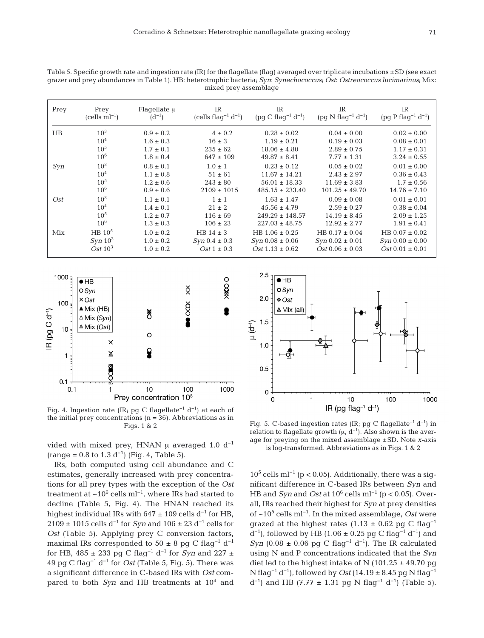| Prey        | Prey<br>$(cells ml-1)$ | Flaqellate $\mu$<br>$(d^{-1})$ | IR<br>(cells flag <sup>-1</sup> $d^{-1}$ ) | IR<br>$(pg C flag^{-1} d^{-1})$ | <b>IR</b><br>$(pq N flag^{-1} d^{-1})$ | IR<br>$(pg P flag^{-1} d^{-1})$ |
|-------------|------------------------|--------------------------------|--------------------------------------------|---------------------------------|----------------------------------------|---------------------------------|
| $_{\rm HB}$ | $10^{3}$               | $0.9 \pm 0.2$                  | $4 \pm 0.2$                                | $0.28 \pm 0.02$                 | $0.04 \pm 0.00$                        | $0.02 \pm 0.00$                 |
|             | 10 <sup>4</sup>        | $1.6 \pm 0.3$                  | $16 \pm 3$                                 | $1.19 \pm 0.21$                 | $0.19 \pm 0.03$                        | $0.08 \pm 0.01$                 |
|             | 10 <sup>5</sup>        | $1.7 \pm 0.1$                  | $235 \pm 62$                               | $18.06 \pm 4.80$                | $2.89 \pm 0.75$                        | $1.17 \pm 0.31$                 |
|             | $10^{6}$               | $1.8 \pm 0.4$                  | $647 \pm 109$                              | $49.87 \pm 8.41$                | $7.77 \pm 1.31$                        | $3.24 \pm 0.55$                 |
| Syn         | $10^{3}$               | $0.8 \pm 0.1$                  | $1.0 \pm 1$                                | $0.23 \pm 0.12$                 | $0.05 \pm 0.02$                        | $0.01 \pm 0.00$                 |
|             | 10 <sup>4</sup>        | $1.1 \pm 0.8$                  | $51 \pm 61$                                | $11.67 \pm 14.21$               | $2.43 \pm 2.97$                        | $0.36 \pm 0.43$                 |
|             | 10 <sup>5</sup>        | $1.2 \pm 0.6$                  | $243 \pm 80$                               | $56.01 \pm 18.33$               | $11.69 \pm 3.83$                       | $1.7 \pm 0.56$                  |
|             | $10^{6}$               | $0.9 \pm 0.6$                  | $2109 \pm 1015$                            | $485.15 \pm 233.40$             | $101.25 \pm 49.70$                     | $14.76 \pm 7.10$                |
| Ost         | 10 <sup>3</sup>        | $1.1 \pm 0.1$                  | $1 \pm 1$                                  | $1.63 \pm 1.47$                 | $0.09 \pm 0.08$                        | $0.01 \pm 0.01$                 |
|             | 10 <sup>4</sup>        | $1.4 \pm 0.1$                  | $21 \pm 2$                                 | $45.56 \pm 4.79$                | $2.59 \pm 0.27$                        | $0.38 \pm 0.04$                 |
|             | 10 <sup>5</sup>        | $1.2 \pm 0.7$                  | $116 \pm 69$                               | $249.29 \pm 148.57$             | $14.19 \pm 8.45$                       | $2.09 \pm 1.25$                 |
|             | $10^{6}$               | $1.3 \pm 0.3$                  | $106 \pm 23$                               | $227.03 \pm 48.75$              | $12.92 \pm 2.77$                       | $1.91 \pm 0.41$                 |
| Mix         | HB 10 <sup>5</sup>     | $1.0 \pm 0.2$                  | HB $14 \pm 3$                              | $HB 1.06 \pm 0.25$              | $HB 0.17 \pm 0.04$                     | $HB 0.07 \pm 0.02$              |
|             | $Syn 10^3$             | $1.0 \pm 0.2$                  | $Syn 0.4 \pm 0.3$                          | $Syn 0.08 \pm 0.06$             | $Syn 0.02 \pm 0.01$                    | $Syn 0.00 \pm 0.00$             |
|             | Ost $10^3$             | $1.0 \pm 0.2$                  | Ost $1 \pm 0.3$                            | $Ost 1.13 \pm 0.62$             | $Ost 0.06 \pm 0.03$                    | $Ost 0.01 \pm 0.01$             |

Table 5. Specific growth rate and ingestion rate  $(IR)$  for the flagellate  $(flag)$  averaged over triplicate incubations  $\pm SD$  (see exact grazer and prey abundances in Table 1). HB: heterotrophic bacteria; *Syn*: *Synechococcus*; *Ost*: *Ostreococcus lucimarinus*; Mix: mixed prey assemblage



Fig. 4. Ingestion rate (IR; pg C flagellate−1 d−1) at each of the initial prey concentrations  $(n = 36)$ . Abbreviations as in

vided with mixed prey, HNAN  $\mu$  averaged 1.0 d<sup>-1</sup>  $(range = 0.8 to 1.3 d<sup>-1</sup>)$  (Fig. 4, Table 5).

IRs, both computed using cell abundance and C estimates, generally increased with prey concentrations for all prey types with the exception of the *Ost* treatment at  $\sim$ 10<sup>6</sup> cells ml<sup>-1</sup>, where IRs had started to decline (Table 5, Fig. 4). The HNAN reached its highest individual IRs with 647  $\pm$  109 cells d<sup>-1</sup> for HB, 2109 ± 1015 cells d−1 for *Syn* and 106 ± 23 d−1 cells for *Ost* (Table 5). Applying prey C conversion factors, maximal IRs corresponded to  $50 \pm 8$  pg C flag<sup>-1</sup> d<sup>-1</sup> for HB, 485 ± 233 pg C flag−1 d−1 for *Syn* and 227 ± 49 pg C flag−1 d−1 for *Ost* (Table 5, Fig. 5). There was a significant difference in C-based IRs with *Ost* compared to both *Syn* and HB treatments at 10<sup>4</sup> and



Figs. 1 & 2 Figs. 1 & 2 Fig. 5. C-based ingestion rates (IR; pg C flagellate<sup>-1</sup> d<sup>-1</sup>) in relation to flagellate growth  $(\mu, d^{-1})$ . Also shown is the average for preying on the mixed assemblage ±SD. Note *x*-axis is log-transformed. Abbreviations as in Figs. 1 & 2

 $10^5$  cells ml<sup>-1</sup> (p < 0.05). Additionally, there was a significant difference in C-based IRs between *Syn* and HB and *Syn* and *Ost* at 10<sup>6</sup> cells ml<sup>-1</sup> (p < 0.05). Overall, IRs reached their highest for *Syn* at prey densities of ~105 cells ml−1. In the mixed assemblage, *Ost* were grazed at the highest rates (1.13 ± 0.62 pg C flag<sup>-1</sup> d<sup>-1</sup>), followed by HB (1.06 ± 0.25 pg C flag<sup>-1</sup> d<sup>-1</sup>) and *Syn* (0.08 ± 0.06 pg C flag<sup>-1</sup> d<sup>-1</sup>). The IR calculated using N and P concentrations indicated that the *Syn* diet led to the highest intake of N (101.25  $\pm$  49.70 pg N flag−1 d−1), followed by *Ost* (14.19 ± 8.45 pg N flag−1  $d^{-1}$ ) and HB (7.77 ± 1.31 pg N flag<sup>-1</sup> d<sup>-1</sup>) (Table 5).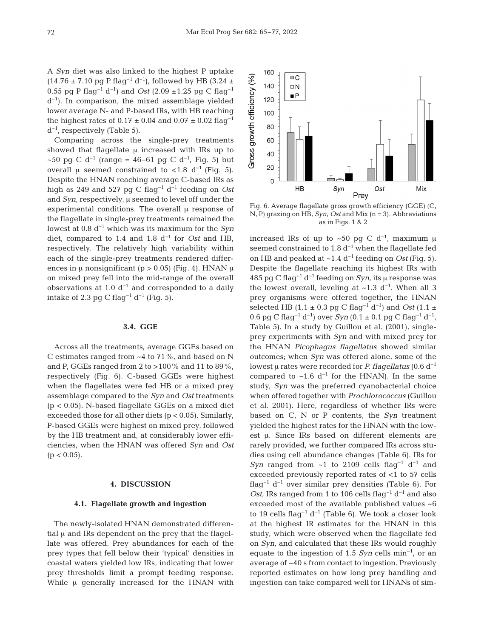A *Syn* diet was also linked to the highest P uptake  $(14.76 \pm 7.10 \text{ pg} \text{ P flag}^{-1} \text{ d}^{-1})$ , followed by HB  $(3.24 \pm 1.10 \text{ pg} \text{ P flag}^{-1} \text{ d}^{-1})$ 0.55 pg P flag−1 d−1) and *Ost* (2.09 ±1.25 pg C flag−1 d−1). In comparison, the mixed assemblage yielded lower average N- and P-based IRs, with HB reaching the highest rates of  $0.17 \pm 0.04$  and  $0.07 \pm 0.02$  flag<sup>-1</sup>  $d^{-1}$ , respectively (Table 5).

Comparing across the single-prey treatments showed that flagellate μ increased with IRs up to ~50 pg C d<sup>-1</sup> (range = 46–61 pg C d<sup>-1</sup>, Fig. 5) but overall μ seemed constrained to <1.8 d<sup>-1</sup> (Fig. 5). Despite the HNAN reaching average C-based IRs as high as 249 and 527 pg C flag−1 d−1 feeding on *Ost* and *Syn,* respectively, μ seemed to level off under the experimental conditions. The overall μ response of the flagellate in single-prey treatments remained the lowest at 0.8 d−1 which was its maximum for the *Syn* diet, compared to 1.4 and 1.8 d−1 for *Ost* and HB, respectively. The relatively high variability within each of the single-prey treatments rendered differences in  $\mu$  nonsignificant (p > 0.05) (Fig. 4). HNAN  $\mu$ on mixed prey fell into the mid-range of the overall observations at 1.0  $d^{-1}$  and corresponded to a daily intake of 2.3 pg C flag<sup>-1</sup> d<sup>-1</sup> (Fig. 5).

## **3.4. GGE**

Across all the treatments, average GGEs based on C estimates ranged from ~4 to 71%, and based on N and P, GGEs ranged from 2 to >100% and 11 to 89%, respectively (Fig. 6). C-based GGEs were highest when the flagellates were fed HB or a mixed prey assemblage compared to the *Syn* and *Ost* treatments (p < 0.05). N-based flagellate GGEs on a mixed diet exceeded those for all other diets (p < 0.05). Similarly, P-based GGEs were highest on mixed prey, followed by the HB treatment and, at considerably lower efficiencies, when the HNAN was offered *Syn* and *Ost*  $(p < 0.05)$ .

## **4. DISCUSSION**

# **4.1. Flagellate growth and ingestion**

The newly-isolated HNAN demonstrated differential μ and IRs dependent on the prey that the flagellate was offered. Prey abundances for each of the prey types that fell below their 'typical' densities in coastal waters yielded low IRs, indicating that lower prey thresholds limit a prompt feeding response. While μ generally increased for the HNAN with



Fig. 6. Average flagellate gross growth efficiency (GGE) (C, N, P) grazing on HB, *Syn*, *Ost* and Mix (n = 3). Abbreviations as in Figs. 1 & 2

increased IRs of up to ~50 pg C d<sup>-1</sup>, maximum  $\mu$ seemed constrained to 1.8  $d^{-1}$  when the flagellate fed on HB and peaked at ~1.4 d−1 feeding on *Ost* (Fig. 5). Despite the flagellate reaching its highest IRs with 485 pg C flag−1 d−1 feeding on *Syn*, its μ response was the lowest overall, leveling at ~1.3  $d^{-1}$ . When all 3 prey organisms were offered together, the HNAN selected HB (1.1 ± 0.3 pg C flag<sup>-1</sup> d<sup>-1</sup>) and *Ost* (1.1 ± 0.6 pg C flag−1 d−1) over *Syn* (0.1 ± 0.1 pg C flag−1 d−1, Table 5). In a study by Guillou et al. (2001), singleprey experiments with *Syn* and with mixed prey for the HNAN *Picophagus flagellatus* showed similar outcomes; when *Syn* was offered alone, some of the lowest μ rates were recorded for *P. flagellatus* (0.6 d−1 compared to ~1.6  $d^{-1}$  for the HNAN). In the same study, *Syn* was the preferred cyanobacterial choice when offered together with *Prochlorococcus* (Guillou et al. 2001). Here, regardless of whether IRs were based on C, N or P contents, the *Syn* treatment yielded the highest rates for the HNAN with the lowest μ. Since IRs based on different elements are rarely provided, we further compared IRs across stu dies using cell abundance changes (Table 6). IRs for *Syn* ranged from ~1 to 2109 cells flag<sup>-1</sup> d<sup>-1</sup> and exceeded previously reported rates of <1 to 57 cells flag−1 d−1 over similar prey densities (Table 6). For *Ost*, IRs ranged from 1 to 106 cells flag<sup>-1</sup> d<sup>-1</sup> and also exceeded most of the available published values ~6 to 19 cells flag<sup>-1</sup> d<sup>-1</sup> (Table 6). We took a closer look at the highest IR estimates for the HNAN in this study, which were observed when the flagellate fed on *Syn,* and calculated that these IRs would roughly equate to the ingestion of 1.5 *Syn* cells min−1, or an average of ~40 s from contact to ingestion. Previously reported estimates on how long prey handling and ingestion can take compared well for HNANs of sim-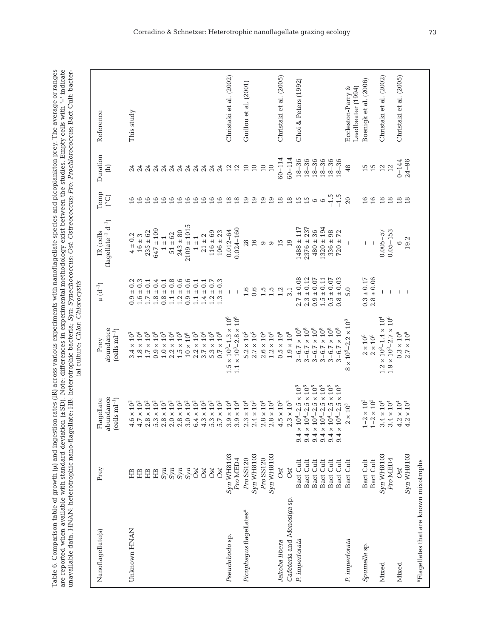| stion rates (IR) across various experiments with nanoflagellate species and picoplankton prey. The average or ranges<br>n 1.1 nm<br>. ما صاحب | ation (±SD). Note: differences in experimental methodology exist between the studies. Empty cells with " indicate<br>$-1 - 1$<br>i<br>ister of<br>ronomrod treno anno placom | gellate; HB: heterotrophic bacteria; Syn: Synechococcus; Ost: Ostreococcus; Pro: Prochlorococcus; Bact Cult: bacter-<br>I<br>$\frac{1}{1}$<br>-<br>ماد ما جا |  |
|-----------------------------------------------------------------------------------------------------------------------------------------------|------------------------------------------------------------------------------------------------------------------------------------------------------------------------------|--------------------------------------------------------------------------------------------------------------------------------------------------------------|--|
|-----------------------------------------------------------------------------------------------------------------------------------------------|------------------------------------------------------------------------------------------------------------------------------------------------------------------------------|--------------------------------------------------------------------------------------------------------------------------------------------------------------|--|

|                                                    |            |                                                      | ial culture; Chlor: Chlorocystis                                                               |                                                          |                                                |                     |                                                           |                         |
|----------------------------------------------------|------------|------------------------------------------------------|------------------------------------------------------------------------------------------------|----------------------------------------------------------|------------------------------------------------|---------------------|-----------------------------------------------------------|-------------------------|
| Nanoflagellate(s)                                  | Prey       | abundance<br>$(cells \text{ ml}^{-1})$<br>Flagellate | abundance<br>$(cells \; ml^{-1})$<br>Prey                                                      | $\mu$ $(d^{-1})$                                         | flagellate <sup>-1</sup> $d^{-1}$<br>IR (cells | Temp<br>$\rm (^oC)$ | Duration<br>$\begin{array}{c} \widehat{E} \\ \end{array}$ | Reference               |
| Unknown HNAN                                       | 岊          | $\times\,10^2$<br>$\ddot{\circ}$                     | $3.4 \times 10^{3}$                                                                            |                                                          | $4 \pm 0.2$                                    |                     |                                                           | This study              |
|                                                    | HB         | $4.7\times10^2$                                      | $1.8\times10^4$                                                                                | $0.9 \pm 0.2$<br>1.6 ± 0.3                               | $16\pm3$                                       | 16                  |                                                           |                         |
|                                                    | HB         | $2.8\times10^2$                                      | $1.7\times10^5$                                                                                | $1.7\pm0.1$                                              | $235 \pm 62$                                   | 16                  | 24                                                        |                         |
|                                                    |            |                                                      |                                                                                                |                                                          |                                                |                     |                                                           |                         |
|                                                    | HB         | $5.3\times10^2$                                      | $0.9 \times 10^6$                                                                              | $1.8 \pm 0.4$                                            | $647 \pm 109$                                  | 16                  |                                                           |                         |
|                                                    |            | $2.8\times10^2$                                      | $1.0\times10^3$                                                                                | $0.8 \pm 0.1$                                            | $1 \pm 1$                                      | 16                  |                                                           |                         |
|                                                    |            | $\times\,10^2$<br>$\sum_{i=1}^{n}$                   | $2.2\times10^4$                                                                                |                                                          | $51 \pm 62$                                    | 16                  |                                                           |                         |
|                                                    |            | $2.8\times10^2$                                      | $1.5\times10^5$                                                                                | $1.1\pm0.8$ $1.2\pm0.6$                                  | $243 \pm 80$                                   | 16                  |                                                           |                         |
|                                                    |            | $3.0\times10^2$                                      | $10\times10^6$                                                                                 |                                                          | $2109 \pm 1015$                                | 16                  |                                                           |                         |
|                                                    |            | $5.4\times10^{2}$                                    | $2.2\times10^3$ $3.7\times10^4$                                                                | $\begin{array}{c} 0.9\pm 0.6\\ 1.1\pm 0.1 \end{array}$   | $1 \pm 1$                                      | 16                  | <b>4444444</b><br>224222                                  |                         |
|                                                    |            | $.3\times10^2$                                       |                                                                                                | $1.4 \pm 0.1$                                            | $21\pm2$                                       | 16                  |                                                           |                         |
|                                                    | Ost        | $5.3\times10^2$                                      | $5.3\times10^5$                                                                                | $1.2 \pm 0.7$ $1.3 \pm 0.3$                              | $116 \pm 69$                                   | 16                  |                                                           |                         |
|                                                    | Ost        | $5.7\times10^2$                                      | $0.7\times10^6$                                                                                |                                                          | $106 \pm 23$                                   | 16                  | 24                                                        |                         |
| Pseudobodo sp.                                     | Syn WH8103 | $.9\times10^4$                                       | $1.5 \times 10^{3} - 1.3 \times 10^{6}$                                                        | $\mathbf{I}$                                             | $0.012 - 64$                                   | 18                  | $12$                                                      | Christaki et al. (2002) |
|                                                    | Pro MED4   | $0.9 \times 10^4$                                    | $1.1 \times 10^3 - 2.8 \times 10^6$                                                            |                                                          | $0.024 - 160$                                  | 18                  |                                                           |                         |
| Picophagus flagellates <sup>a</sup>                | Pro SS120  | $2.3 \times 10^{4}$                                  | $5.2\times10^5$                                                                                | 1.6                                                      | 28                                             | 19                  | $10$                                                      | Guillou et al. (2001)   |
|                                                    | Syn WH8103 | $2.4\times10^3$                                      | $2.7\times10^5$                                                                                | 0.6                                                      | 16                                             | 19                  | $10$                                                      |                         |
|                                                    | Pro SS120  | $.8 \times 10^{4}$                                   | $2.6\times10^5$                                                                                | 1.5                                                      | 0                                              |                     | $\overline{10}$                                           |                         |
|                                                    | Syn WH8103 | $2.8 \times 10^4$                                    | $1.2\times10^4$                                                                                | 1.5                                                      | $\circ$                                        | $\frac{0}{19}$      | $10$                                                      |                         |
| Jakoba libera                                      | Ost        | $.5 \times 10^2$                                     | $0.5\times10^6$                                                                                | 1.2                                                      | 15                                             | 18                  | $60 - 114$                                                | Christaki et al. (2005) |
| Cafeteria and Monosiga sp                          | Ost        | $2.3 \times 10^{2}$                                  | $1.9\times10^6$                                                                                | 3.1                                                      | 19                                             | $18$                | $60 - 114$                                                |                         |
| P. imperforata                                     | Bact Cult  | $10^4 - 2.5 \times 10^5$<br>$9.4 \times$             | $3-6.7\times10^8$                                                                              | $2.7 \pm 0.08$                                           | $1488 \pm 117$                                 | 15                  | $18 - 36$                                                 | Choi & Peters (1992)    |
|                                                    | Bact Cult  | $10^4\text{--}2.5\times10^5$<br>$9.4 \times$         | $3\mathrm{-}6.7\times10^{8}$                                                                   | $2.3 \pm 0.12$                                           | $2376 \pm 237$                                 | 15                  | $18 - 36$                                                 |                         |
|                                                    | Bact Cult  | $10^{4} - 2.5 \times 10^{5}$<br>$9.4 \times$         | $\begin{array}{l} 3\!-\!6.7\times10^8\\ 3\!-\!6.7\times10^8\\ 3\!-\!6.7\times10^8 \end{array}$ | $0.9\pm0.07$                                             | $480\pm36$                                     | $\circ$             | $18 - 36$                                                 |                         |
|                                                    | Bact Cult  | $10^4\text{--}2.5\times10^5$<br>$9.4 \times$         |                                                                                                | $\begin{array}{c} 1.5\pm 0.11\\ 0.5\pm 0.07 \end{array}$ | $1320 \pm 194$                                 | $\circ$             | $18 - 36$                                                 |                         |
|                                                    | Bact Cult  | $10^4 - 2.5 \times 10^5$<br>$9.4 \times$             |                                                                                                |                                                          | $336 \pm 98$                                   | $-1.5$<br>-1.5      | $18 - 36$                                                 |                         |
|                                                    | Bact Cult  | $10^4 - 2.5 \times 10^5$<br>$9.4 \times$             | $3 - 6.7 \times 10^{8}$                                                                        | $0.8 \pm 0.03$                                           | $720 \pm 72$                                   |                     | $18 - 36$                                                 |                         |
| P. imperforata                                     | Bact Cult  | $2\times10^3$                                        | $\times$ $10^5\text{--}2.2\times10^8$<br>$\infty$                                              | 5.0                                                      |                                                | $20\,$              | 48                                                        | Eccleston-Parry &       |
|                                                    |            |                                                      |                                                                                                |                                                          |                                                |                     |                                                           | Leadbeater (1994)       |
| Spumella sp.                                       | Bact Cult  | $1\!-\!2\times10^3$                                  | $2\times10^8$                                                                                  | $0.3 \pm 0.17$                                           | $\overline{1}$                                 | 16                  | 15                                                        | Boenigk et al. (2006)   |
|                                                    | Bact Cult  | $1\text{--}2\times10^3$                              | $2\times10^8$                                                                                  | $\pm$ 0.06<br>2.8                                        |                                                | 16                  | 15                                                        |                         |
| Mixed                                              | Syn WH8103 | $4\times10^4$<br>က                                   | $1.2 \times 10^{3} - 1.4 \times 10^{4}$                                                        | T                                                        | $0.005 - 57$                                   | $18\,$              | $12\,$                                                    | Christaki et al. (2002) |
|                                                    | Pro MED4   | $3.4\times10^4$<br>က                                 | $1.9 \times 10^3 \text{--} 2.7 \times 10^6$                                                    | $\overline{\phantom{a}}$                                 | $0.05 - 153$                                   | 18                  | 12                                                        |                         |
| Mixed                                              | Ost        | $\times$ $10^4$<br>$\ddot{\Omega}$                   | $0.3\times10^6$                                                                                | $\mathsf{I}$                                             | $\circ$                                        | 18                  | $0 - 144$                                                 | Christaki et al. (2005) |
|                                                    | Syn WH8103 | $\times$ $10^4$<br>$\ddot{\Omega}$                   | $2.7\times10^6$                                                                                | $\overline{\phantom{a}}$                                 | 19.2                                           | 18                  | $24 - 96$                                                 |                         |
| <sup>a</sup> Flagellates that are known mixotrophs |            |                                                      |                                                                                                |                                                          |                                                |                     |                                                           |                         |
|                                                    |            |                                                      |                                                                                                |                                                          |                                                |                     |                                                           |                         |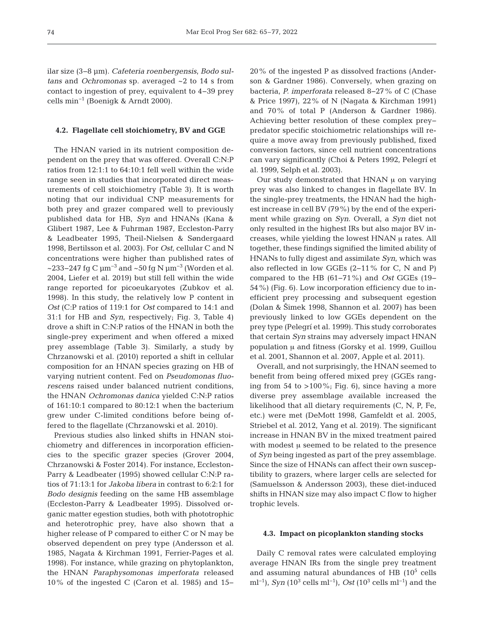ilar size (3−8 μm). *Cafeteria roenbergensis*, *Bodo sultans* and *Ochromonas* sp. averaged ~2 to 14 s from contact to ingestion of prey, equivalent to 4−39 prey cells min−1 (Boenigk & Arndt 2000).

#### **4.2. Flagellate cell stoichiometry, BV and GGE**

The HNAN varied in its nutrient composition dependent on the prey that was offered. Overall C:N:P ratios from 12:1:1 to 64:10:1 fell well within the wide range seen in studies that incorporated direct measurements of cell stoichiometry (Table 3). It is worth noting that our individual CNP measurements for both prey and grazer compared well to previously published data for HB, *Syn* and HNANs (Kana & Glibert 1987, Lee & Fuhrman 1987, Eccleston-Parry & Leadbeater 1995, Theil-Nielsen & Søndergaard 1998, Bertilsson et al. 2003). For *Ost*, cellular C and N concentrations were higher than published rates of ~233–247 fg C  $\mu$ m<sup>-3</sup> and ~50 fg N  $\mu$ m<sup>-3</sup> (Worden et al. 2004, Liefer et al. 2019) but still fell within the wide range reported for picoeukaryotes (Zubkov et al. 1998). In this study, the relatively low P content in *Ost* (C:P ratios of 119:1 for *Ost* compared to 14:1 and 31:1 for HB and *Syn*, respectively; Fig. 3, Table 4) drove a shift in C:N:P ratios of the HNAN in both the single-prey experiment and when offered a mixed prey assemblage (Table 3). Similarly, a study by Chrzanowski et al. (2010) reported a shift in cellular composition for an HNAN species grazing on HB of varying nutrient content. Fed on *Pseudomonas fluorescens* raised under balanced nutrient conditions, the HNAN *Ochromonas danica* yielded C:N:P ratios of 161:10:1 compared to 80:12:1 when the bacterium grew under C-limited conditions before being of fered to the flagellate (Chrzanowski et al. 2010).

Previous studies also linked shifts in HNAN stoichiometry and differences in incorporation efficiencies to the specific grazer species (Grover 2004, Chrzanowski & Foster 2014). For instance, Eccleston-Parry & Leadbeater (1995) showed cellular C:N:P ratios of 71:13:1 for *Jakoba libera* in contrast to 6:2:1 for *Bodo designis* feeding on the same HB assemblage (Eccleston-Parry & Leadbeater 1995). Dissolved organic matter egestion studies, both with phototrophic and heterotrophic prey, have also shown that a higher release of P compared to either C or N may be observed dependent on prey type (Andersson et al. 1985, Nagata & Kirchman 1991, Ferrier-Pages et al. 1998). For instance, while grazing on phytoplankton, the HNAN *Paraphysomonas imperforata* released 10% of the ingested C (Caron et al. 1985) and 15− 20% of the ingested P as dissolved fractions (Anderson & Gardner 1986). Conversely, when grazing on bacteria, *P. imperforata* released 8–27% of C (Chase & Price 1997), 22% of N (Nagata & Kirchman 1991) and 70% of total P (Anderson & Gardner 1986). Achieving better resolution of these complex prey− predator specific stoichiometric relationships will require a move away from previously published, fixed conversion factors, since cell nutrient concentrations can vary significantly (Choi & Peters 1992, Pelegrí et al. 1999, Selph et al. 2003).

Our study demonstrated that HNAN μ on varying prey was also linked to changes in flagellate BV. In the single-prey treatments, the HNAN had the highest increase in cell BV (79%) by the end of the experiment while grazing on *Syn*. Overall, a *Syn* diet not only resulted in the highest IRs but also major BV increases, while yielding the lowest HNAN μ rates. All together, these findings signified the limited ability of HNANs to fully digest and assimilate *Syn*, which was also reflected in low GGEs (2−11% for C, N and P) compared to the HB (61−71%) and *Ost* GGEs (19− 54%) (Fig. 6). Low incorporation efficiency due to in efficient prey processing and subsequent egestion (Dolan & Šimek 1998, Shannon et al. 2007) has been previously linked to low GGEs dependent on the prey type (Pelegrí et al. 1999). This study corroborates that certain *Syn* strains may adversely impact HNAN population μ and fitness (Gorsky et al. 1999, Guillou et al. 2001, Shannon et al. 2007, Apple et al. 2011).

Overall, and not surprisingly, the HNAN seemed to benefit from being offered mixed prey (GGEs ranging from 54 to  $>100\%$ ; Fig. 6), since having a more diverse prey assemblage available increased the likelihood that all dietary requirements (C, N, P, Fe, etc.) were met (DeMott 1998, Gamfeldt et al. 2005, Striebel et al. 2012, Yang et al. 2019). The significant increase in HNAN BV in the mixed treatment paired with modest μ seemed to be related to the presence of *Syn* being ingested as part of the prey assemblage. Since the size of HNANs can affect their own susceptibility to grazers, where larger cells are selected for (Samuelsson & Andersson 2003), these diet-induced shifts in HNAN size may also impact C flow to higher trophic levels.

## **4.3. Impact on picoplankton standing stocks**

Daily C removal rates were calculated employing average HNAN IRs from the single prey treatment and assuming natural abundances of HB  $(10^5 \text{ cells})$ ml<sup>-1</sup>), *Syn* (10<sup>3</sup> cells ml<sup>-1</sup>), *Ost* (10<sup>3</sup> cells ml<sup>-1</sup>) and the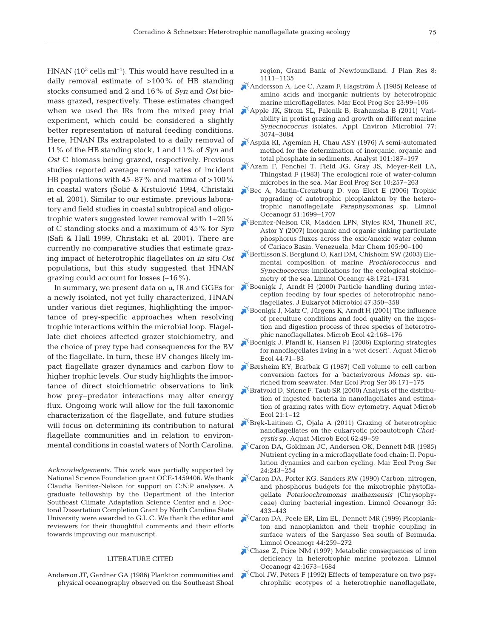HNAN ( $10^3$  cells ml<sup>-1</sup>). This would have resulted in a daily removal estimate of >100% of HB standing stocks consumed and 2 and 16% of *Syn* and *Ost* biomass grazed, respectively. These estimates changed when we used the IRs from the mixed prey trial experiment, which could be considered a slightly better representation of natural feeding conditions. Here, HNAN IRs extrapolated to a daily removal of 11% of the HB standing stock, 1 and 11% of *Syn* and *Ost* C biomass being grazed, respectively. Previous studies reported average removal rates of incident HB populations with 45–87% and maxima of >100% in coastal waters (Šolić & Krstulović 1994, Christaki et al. 2001). Similar to our estimate, previous laboratory and field studies in coastal subtropical and oligotrophic waters suggested lower removal with 1–20% of C standing stocks and a maximum of 45% for *Syn* (Safi & Hall 1999, Christaki et al. 2001). There are currently no comparative studies that estimate grazing impact of heterotrophic flagellates on *in situ Ost* populations, but this study suggested that HNAN grazing could account for losses (~16%).

In summary, we present data on μ, IR and GGEs for a newly isolated, not yet fully characterized, HNAN under various diet regimes, highlighting the importance of prey-specific approaches when resolving trophic interactions within the microbial loop. Flagellate diet choices affected grazer stoichiometry, and the choice of prey type had consequences for the BV of the flagellate. In turn, these BV changes likely impact flagellate grazer dynamics and carbon flow to higher trophic levels. Our study highlights the importance of direct stoichiometric observations to link how prey−predator interactions may alter energy flux. Ongoing work will allow for the full taxonomic characterization of the flagellate, and future studies will focus on determining its contribution to natural flagellate communities and in relation to environmental conditions in coastal waters of North Carolina.

*Acknowledgements*. This work was partially supported by National Science Foundation grant OCE-1459406. We thank Claudia Benitez-Nelson for support on C:N:P analyses. A graduate fellowship by the Department of the Interior Southeast Climate Adaptation Science Center and a Doctoral Dissertation Completion Grant by North Carolina State University were awarded to G.L.C. We thank the editor and reviewers for their thoughtful comments and their efforts towards improving our manuscript.

## LITERATURE CITED

Anderson JT, Gardner GA (1986) Plankton communities and physical oceanography observed on the Southeast Shoal

region, Grand Bank of Newfoundland. J Plan Res 8: 1111–1135

- $^{\zeta}$ [Andersson A, Lee C, Azam F, Hagström Å \(1985\) Release of](https://doi.org/10.3354/meps023099) amino acids and inorganic nutrients by heterotrophic marine microflagellates. Mar Ecol Prog Ser 23:99-106
- [Apple JK, Strom SL, Palenik B, Brahamsha B \(2011\) Vari](https://doi.org/10.1128/AEM.02241-10)ability in protist grazing and growth on different marine *Synechococcus* isolates. Appl Environ Microbiol 77: 3074−3084
- [Aspila KI, Agemian H, Chau ASY \(1976\) A semi-automated](https://doi.org/10.1039/an9760100187) method for the determination of inorganic, organic and total phosphate in sediments. Analyst 101: 187−197
- [Azam F, Fenchel T, Field JG, Gray JS, Meyer-Reil LA,](https://doi.org/10.3354/meps010257) Thingstad F (1983) The ecological role of water-column microbes in the sea. Mar Ecol Prog Ser 10:257-263
- [Bec A, Martin-Creuzburg D, von Elert E \(2006\) Trophic](https://doi.org/10.4319/lo.2006.51.4.1699) upgrading of autotrophic picoplankton by the heterotrophic nanoflagellate *Paraphysomonas* sp. Limnol Oceanogr 51: 1699−1707
- [Benitez-Nelson CR, Madden LPN, Styles RM, Thunell RC,](https://doi.org/10.1016/j.marchem.2007.01.007) Astor Y (2007) Inorganic and organic sinking particulate phosphorus fluxes across the oxic/anoxic water column of Cariaco Basin, Venezuela. Mar Chem 105: 90−100
- [Bertilsson S, Berglund O, Karl DM, Chisholm SW \(2003\) Ele](https://doi.org/10.4319/lo.2003.48.5.1721)mental composition of marine *Prochlorococcus* and *Synechococcus*: implications for the ecological stoichiometry of the sea. Limnol Oceangr 48: 1721−1731
- [Boenigk J, Arndt H \(2000\) Particle handling during inter](https://doi.org/10.1111/j.1550-7408.2000.tb00060.x)ception feeding by four species of heterotrophic nanoflagellates. J Eukaryot Microbiol 47: 350−358
- [Boenigk J, Matz C, Jürgens K, Arndt H \(2001\) The influence](https://doi.org/10.1007/s002480000116) of preculture conditions and food quality on the ingestion and digestion process of three species of heterotrophic nanoflagellates. Microb Ecol 42: 168−176
- [Boenigk J, Pfandl K, Hansen PJ \(2006\) Exploring strategies](https://doi.org/10.3354/ame044059) for nanoflagellates living in a 'wet desert'. Aquat Microb Ecol 44:71-83
- [Børsheim KY, Bratbak G \(1987\) Cell volume to cell carbon](https://doi.org/10.3354/meps036171) conversion factors for a bacterivorous *Monas* sp. enriched from seawater. Mar Ecol Prog Ser 36: 171−175
- [Bratvold D, Srienc F, Taub SR \(2000\) Analysis of the distribu](https://doi.org/10.3354/ame021001)tion of ingested bacteria in nanoflagellates and estimation of grazing rates with flow cytometry. Aquat Microb Ecol 21: 1−12
- [Bręk-Laitinen G, Ojala A \(2011\) Grazing of heterotrophic](https://doi.org/10.3354/ame01457) nanoflagellates on the eukaryotic picoautotroph *Choricystis* sp. Aquat Microb Ecol 62: 49−59
- [Caron DA, Goldman JC, Andersen OK, Dennett MR \(1985\)](https://doi.org/10.3354/meps024243) Nutrient cycling in a microflagellate food chain: II. Population dynamics and carbon cycling. Mar Ecol Prog Ser 24: 243−254
- [Caron DA, Porter KG, Sanders RW \(1990\) Carbon, nitrogen,](https://doi.org/10.4319/lo.1990.35.2.0433) and phosphorus budgets for the mixotrophic phytoflagellate *Poterioochromonas malhamensis* (Chrysophy ceae) during bacterial ingestion. Limnol Oceanogr 35: 433−443
- [Caron DA, Peele ER, Lim EL, Dennett MR \(1999\) Picoplank](https://doi.org/10.4319/lo.1999.44.2.0259)ton and nanoplankton and their trophic coupling in surface waters of the Sargasso Sea south of Bermuda. Limnol Oceanogr 44: 259−272
- [Chase Z, Price NM \(1997\) Metabolic consequences of iron](https://doi.org/10.4319/lo.1997.42.8.1673) deficiency in heterotrophic marine protozoa. Limnol Oceanogr 42: 1673−1684
- [Choi JW, Peters F \(1992\) Effects of temperature on two psy](https://doi.org/10.1128/aem.58.2.593-599.1992)chrophilic ecotypes of a heterotrophic nanoflagellate,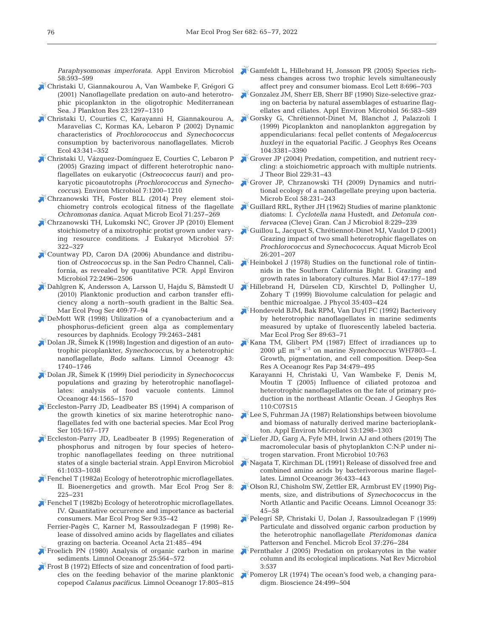*Paraphysomonas imperforata*. Appl Environ Microbiol 58: 593−599

- [Christaki U, Giannakourou A, Van Wambeke F, Grégori G](https://doi.org/10.1093/plankt/23.11.1297) (2001) Nanoflagellate predation on auto-and heterotrophic picoplankton in the oligotrophic Mediterranean Sea. J Plankton Res 23: 1297−1310
- [Christaki U, Courties C, Karayanni H, Giannakourou A,](https://doi.org/10.1007/s00248-002-2002-3) Maravelias C, Kormas KA, Lebaron P (2002) Dynamic characteristics of *Prochlorococcus* and *Synechococcus* consumption by bacterivorous nanoflagellates. Microb Ecol 43: 341−352
- [Christaki U, Vázquez-Domínguez E, Courties C, Lebaron P](https://doi.org/10.1111/j.1462-2920.2005.00800.x) (2005) Grazing impact of different heterotrophic nanoflagellates on eukaryotic (*Ostreococcus tauri*) and prokaryotic picoautotrophs (*Prochlorococcus* and *Synecho coccus)*. Environ Microbiol 7: 1200−1210
- [Chrzanowski TH, Foster BLL \(2014\) Prey element stoi](https://doi.org/10.3354/ame01680)chiometry controls ecological fitness of the flagellate *Ochromonas danica.* Aquat Microb Ecol 71: 257−269
- [Chrzanowski TH, Lukomski NC, Grover JP \(2010\) Element](https://doi.org/10.1111/j.1550-7408.2010.00487.x) stoichiometry of a mixotrophic protist grown under varying resource conditions. J Eukaryot Microbiol 57: 322−327
- [Countway PD, Caron DA \(2006\) Abundance and distribu](https://doi.org/10.1128/AEM.72.4.2496-2506.2006)tion of *Ostreococcus* sp. in the San Pedro Channel, California, as revealed by quantitative PCR. Appl Environ Microbiol 72: 2496−2506
- [Dahlgren K, Andersson A, Larsson U, Hajdu S, Båmstedt U](https://doi.org/10.3354/meps08615) (2010) Planktonic production and carbon transfer efficiency along a north−south gradient in the Baltic Sea. Mar Ecol Prog Ser 409:77-94
- [DeMott WR \(1998\) Utilization of a cyanobacterium and a](https://doi.org/10.1890/0012-9658(1998)079%5b2463%3AUOACAA%5d2.0.CO%3B2) phosphorus-deficient green alga as complementary resources by daphnids. Ecology 79:2463-2481
- [Dolan JR, Šimek K \(1998\) Ingestion and digestion of an auto](https://doi.org/10.4319/lo.1998.43.7.1740)trophic picoplankter, *Synechococcus*, by a heterotrophic nanoflagellate, *Bodo saltans*. Limnol Oceanogr 43: 1740−1746
- [Dolan JR, Šimek K \(1999\) Diel periodicity in](https://doi.org/10.4319/lo.1999.44.6.1565) *Synechococcus* populations and grazing by heterotrophic nanoflagellates: analysis of food vacuole contents. Limnol Oceanogr 44: 1565−1570
- [Eccleston-Parry JD, Leadbeater BS \(1994\) A comparison of](https://doi.org/10.3354/meps105167) the growth kinetics of six marine heterotrophic nanoflagellates fed with one bacterial species. Mar Ecol Prog Ser 105: 167–177
- [Eccleston-Parry JD, Leadbeater B \(1995\) Regeneration of](https://doi.org/10.1128/aem.61.3.1033-1038.1995) phosphorus and nitrogen by four species of heterotrophic nanoflagellates feeding on three nutritional states of a single bacterial strain. Appl Environ Microbiol 61: 1033−1038
- $\mathbb{F}$  [Fenchel T \(1982a\) Ecology of heterotrophic microflagellates.](https://doi.org/10.3354/meps008225) II. Bioenergetics and growth. Mar Ecol Prog Ser 8: 225−231
- [Fenchel T \(1982b\) Ecology of heterotrophic microflagellates.](https://doi.org/10.3354/meps009035</jrn>) IV. Quantitative occurrence and importance as bacterial consumers. Mar Ecol Prog Ser 9:35–42
- Ferrier-Pagès C, Karner M, Rassoulzadegan F (1998) Re lease of dissolved amino acids by flagellates and ciliates grazing on bacteria. Oceanol Acta 21:485-494
- [Froelich PN \(1980\) Analysis of organic carbon in marine](https://doi.org/10.4319/lo.1980.25.3.0564) sediments. Limnol Oceanogr 25:564-572
- [Frost B \(1972\) Effects of size and concentration of food parti](https://doi.org/10.4319/lo.1972.17.6.0805)cles on the feeding behavior of the marine planktonic copepod *Calanus pacificus*. Limnol Oceanogr 17: 805−815
- [Gamfeldt L, Hillebrand H, Jonsson PR \(2005\) Species rich](https://doi.org/10.1111/j.1461-0248.2005.00765.x)ness changes across two trophic levels simultaneously affect prey and consumer biomass. Ecol Lett 8:696-703
- [Gonzalez JM, Sherr EB, Sherr BF \(1990\) Size-selective graz](https://doi.org/10.1128/aem.56.3.583-589.1990)ing on bacteria by natural assemblages of estuarine flagellates and ciliates. Appl Environ Microbiol 56:583-589
- [Gorsky G, Chrétiennot-Dinet M, Blanchot J, Palazzoli I](https://doi.org/10.1029/98JC01850) (1999) Picoplankton and nanoplankton aggregation by appendicularians: fecal pellet contents of *Megalocercus huxleyi* in the equatorial Pacific. J Geophys Res Oceans 104: 3381−3390
- [Grover JP \(2004\) Predation, competition, and nutrient recy](https://doi.org/10.1016/j.jtbi.2004.03.001)cling: a stoichiometric approach with multiple nutrients. J Theor Biol 229: 31−43
- $\sqrt{\xi}$ [Grover JP, Chrzanowski TH \(2009\) Dynamics and nutri](https://doi.org/10.1007/s00248-009-9486-z)tional ecology of a nanoflagellate preying upon bacteria. Microb Ecol 58:231-243
- [Guillard RRL, Ryther JH \(1962\) Studies of marine planktonic](https://doi.org/10.1139/m62-029) diatoms:I. *Cyclotella nana* Hustedt, and *Detonula confervacea* (Cleve) Gran. Can J Microbiol 8: 229−239
- [Guillou L, Jacquet S, Chrétiennot-Dinet MJ, Vaulot D \(2001\)](https://doi.org/10.3354/ame026201) Grazing impact of two small heterotrophic flagellates on *Prochlorococcus* and *Synechococcus*. Aquat Microb Ecol 26: 201−207
- [Heinbokel J \(1978\) Studies on the functional role of tintin](https://doi.org/10.1007/BF00395638)nids in the Southern California Bight. I. Grazing and growth rates in laboratory cultures. Mar Biol 47: 177−189
- [Hillebrand H, Dürselen CD, Kirschtel D, Pollingher U,](https://doi.org/10.1046/j.1529-8817.1999.3520403.x) Zohary T (1999) Biovolume calculation for pelagic and benthic microalgae. J Phycol 35: 403−424
- [Hondeveld BJM, Bak RPM, Van Duyl FC \(1992\) Bacterivory](https://doi.org/10.3354/meps089063) by heterotrophic nanoflagellates in marine sediments measured by uptake of fluorescently labeled bacteria. Mar Ecol Prog Ser 89:63-71
- [Kana TM, Glibert PM \(1987\) Effect of irradiances up to](https://doi.org/10.1016/0198-0149(87)90001-X) 2000 μE m−2 s−1 on marine *Synechococcus* WH7803—I. Growth, pigmentation, and cell composition. Deep-Sea Res A Oceanogr Res Pap 34: 479−495
	- Karayanni H, Christaki U, Van Wambeke F, Denis M, Moutin T (2005) Influence of ciliated protozoa and heterotrophic nanoflagellates on the fate of primary production in the northeast Atlantic Ocean. J Geophys Res 110: C07S15
- $\blacktriangleright$  [Lee S, Fuhrman JA \(1987\) Relationships between biovolume](https://doi.org/10.1128/aem.53.6.1298-1303.1987) and biomass of naturally derived marine bacterioplankton. Appl Environ Microbiol 53: 1298−1303
- [Liefer JD, Garg A, Fyfe MH, Irwin AJ and others \(2019\) The](https://doi.org/10.3389/fmicb.2019.00763) macromolecular basis of phytoplankton C:N:P under ni trogen starvation. Front Microbiol 10:763
- [Nagata T, Kirchman DL \(1991\) Release of dissolved free and](https://doi.org/10.4319/lo.1991.36.3.0433) combined amino acids by bacterivorous marine flagellates. Limnol Oceanogr 36:433-443
- [Olson RJ, Chisholm SW, Zettler ER, Armbrust EV \(1990\) Pig](https://doi.org/10.4319/lo.1990.35.1.0045)ments, size, and distributions of *Synechococcus* in the North Atlantic and Pacific Oceans. Limnol Oceanogr 35: 45−58
- [Pelegrí SP, Christaki U, Dolan J, Rassoulzadegan F \(1999\)](https://doi.org/10.1007/s002489900150) Particulate and dissolved organic carbon production by the heterotrophic nanoflagellate *Pteridomonas danica* Patterson and Fenchel. Microb Ecol 37: 276−284
- [Pernthaler J \(2005\) Predation on prokaryotes in the water](https://doi.org/10.1038/nrmicro1180) column and its ecological implications. Nat Rev Microbiol 3: 537
- [Pomeroy LR \(1974\) The ocean's food web, a changing para](https://doi.org/10.2307/1296885)digm. Bioscience 24: 499−504